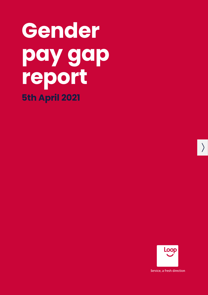# **Gender pay gap report 5th April 2021**



Service, a fresh direction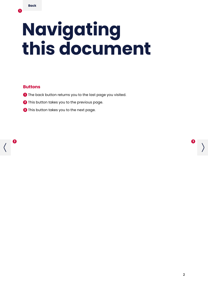$\mathbf 0$ 

# **Navigating this document**

#### **Buttons**

- **1** The back button returns you to the last page you visited.
- **2** This button takes you to the previous page.
- **3** This button takes you to the next page.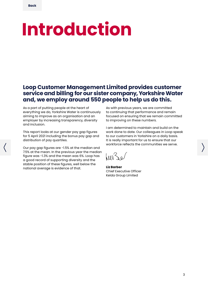# **Introduction**

**Loop Customer Management Limited provides customer service and billing for our sister company, Yorkshire Water and, we employ around 550 people to help us do this.**

As a part of putting people at the heart of everything we do, Yorkshire Water is continuously aiming to improve as an organisation and an employer by increasing transparency, diversity and inclusion.

This report looks at our gender pay gap figures for 5 April 2021 including the bonus pay gap and distribution of pay quartiles.

Our pay gap figures are -1.5% at the median and 7.5% at the mean. In the previous year the median figure was -1.3% and the mean was 6%. Loop has a good record of supporting diversity and the stable position of these figures, well below the national average is evidence of that.

As with previous years, we are committed to continuing that performance and remain focused on ensuring that we remain committed to improving on these numbers.

I am determined to maintain and build on the work done to date. Our colleagues in Loop speak to our customers in Yorkshire on a daily basis. It is really important for us to ensure that our workforce reflects the communities we serve.

 $h''$ 

**Liz Barber** Chief Executive Officer Kelda Group Limited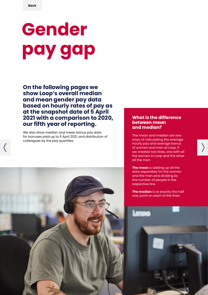# **Gender pay gap**

**On the following pages we show Loop's overall median and mean gender pay data based on hourly rates of pay as at the snapshot date of 5 April 2021 with a comparison to 2020, our fifth year of reporting.**

We also show median and mean bonus pay data for bonuses paid up to 5 April 2021, and distribution of colleagues by the pay quartiles.

#### **What is the difference between mean and median?**

The mean and median are two ways of calculating the average hourly pay and average bonus of women and men at Loop. If we created two lines, one with all the women in Loop and the other all the men:

**The mean** is adding up all the data separately for the women and the men and dividing by the number of people in the respective line.

**The median** is at exactly the half way point on each of the lines.

4



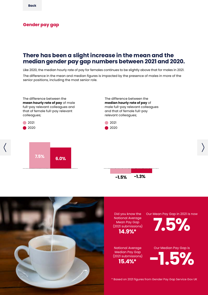#### **Gender pay gap**

### **There has been a slight increase in the mean and the median gender pay gap numbers between 2021 and 2020.**

Like 2020, the median hourly rate of pay for females continues to be slightly above that for males in 2021. The difference in the mean and median figures is impacted by the presence of males in more of the senior positions, including the most senior role.



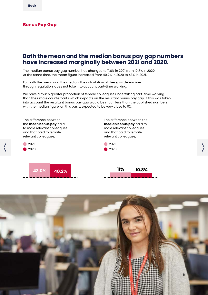#### **Bonus Pay Gap**

### **Both the mean and the median bonus pay gap numbers have increased marginally between 2021 and 2020.**

The median bonus pay gap number has changed to 11.0% in 2021 from 10.8% in 2020. At the same time, the mean figure increased from 40.2% in 2020 to 43% in 2021.

For both the mean and the median, the calculation of these, as determined through regulation, does not take into account part-time working.

We have a much greater proportion of female colleagues undertaking part-time working than their male counterparts which impacts on the resultant bonus pay gap. If this was taken into account the resultant bonus pay gap would be much less than the published numbers with the median figure, on this basis, expected to be very close to 0%.



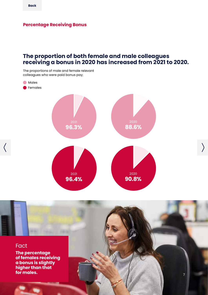#### **Percentage Receiving Bonus**

### **The proportion of both female and male colleagues receiving a bonus in 2020 has increased from 2021 to 2020.**

The proportions of male and female relevant colleagues who were paid bonus pay;



 $\left( \right)$ 

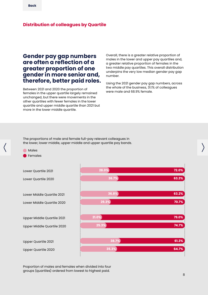#### **Distribution of colleagues by Quartile**

### **Gender pay gap numbers are often a reflection of a greater proportion of one gender in more senior and, therefore, better paid roles.**

Between 2021 and 2020 the proportion of females in the upper quartile largely remained unchanged, but there were movements in the other quartiles with fewer females in the lower quartile and upper middle quartile than 2021 but more in the lower middle quartile.

Overall, there is a greater relative proportion of males in the lower and upper pay quartiles and, a greater relative proportion of females in the two middle pay quartiles. This overall distribution underpins the very low median gender pay gap number.

Using the 2021 gender pay gap numbers, across the whole of the business, 31.1% of colleagues were male and 68.9% female.

The proportions of male and female full-pay relevant colleagues in the lower, lower middle, upper middle and upper quartile pay bands.

#### Males Females

Lower Quartile 2021

Lower Quartile 2020

Lower Middle Quartile 2021 Lower Middle Quartile 2020

Upper Middle Quartile 2021

Upper Middle Quartile 2020

Upper Quartile 2021

Upper Quartile 2020



Proportion of males and females when divided into four groups (quartiles) ordered from lowest to highest paid.